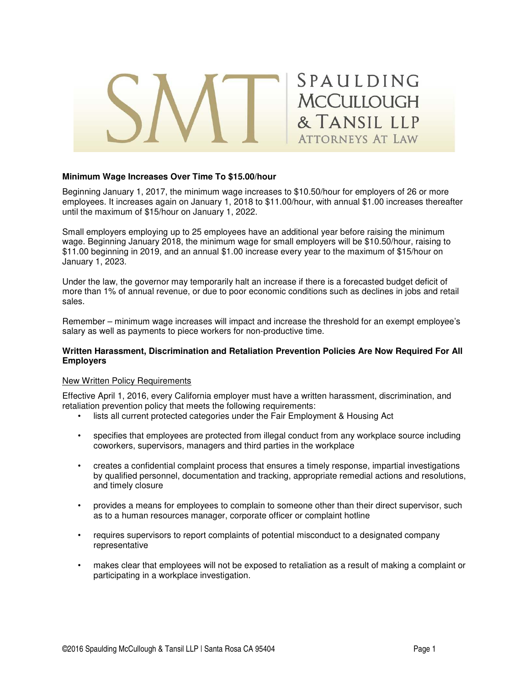

## **Minimum Wage Increases Over Time To \$15.00/hour**

Beginning January 1, 2017, the minimum wage increases to \$10.50/hour for employers of 26 or more employees. It increases again on January 1, 2018 to \$11.00/hour, with annual \$1.00 increases thereafter until the maximum of \$15/hour on January 1, 2022.

Small employers employing up to 25 employees have an additional year before raising the minimum wage. Beginning January 2018, the minimum wage for small employers will be \$10.50/hour, raising to \$11.00 beginning in 2019, and an annual \$1.00 increase every year to the maximum of \$15/hour on January 1, 2023.

Under the law, the governor may temporarily halt an increase if there is a forecasted budget deficit of more than 1% of annual revenue, or due to poor economic conditions such as declines in jobs and retail sales.

Remember – minimum wage increases will impact and increase the threshold for an exempt employee's salary as well as payments to piece workers for non-productive time.

### **Written Harassment, Discrimination and Retaliation Prevention Policies Are Now Required For All Employers**

#### New Written Policy Requirements

Effective April 1, 2016, every California employer must have a written harassment, discrimination, and retaliation prevention policy that meets the following requirements:

- lists all current protected categories under the Fair Employment & Housing Act
- specifies that employees are protected from illegal conduct from any workplace source including coworkers, supervisors, managers and third parties in the workplace
- creates a confidential complaint process that ensures a timely response, impartial investigations by qualified personnel, documentation and tracking, appropriate remedial actions and resolutions, and timely closure
- provides a means for employees to complain to someone other than their direct supervisor, such as to a human resources manager, corporate officer or complaint hotline
- requires supervisors to report complaints of potential misconduct to a designated company representative
- makes clear that employees will not be exposed to retaliation as a result of making a complaint or participating in a workplace investigation.